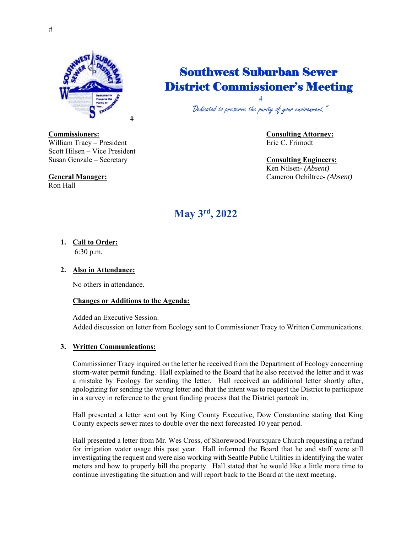

## Southwest Suburban Sewer District Commissioner's Meeting

 $#$ Dedicated to preserve the purity of your environment.

William Tracy – President Eric C. Frimodt Scott Hilsen – Vice President Susan Genzale – Secretary **Consulting Engineers:**

Ron Hall

# **Commissioners:** Consulting Attorney:

## Ken Nilsen- *(Absent)*

**General Manager:** Cameron Ochiltree- *(Absent)*

## **May 3rd, 2022**

**1. Call to Order:**  6:30 p.m.

### **2. Also in Attendance:**

No others in attendance.

#### **Changes or Additions to the Agenda:**

Added an Executive Session. Added discussion on letter from Ecology sent to Commissioner Tracy to Written Communications.

#### **3. Written Communications:**

Commissioner Tracy inquired on the letter he received from the Department of Ecology concerning storm-water permit funding. Hall explained to the Board that he also received the letter and it was a mistake by Ecology for sending the letter. Hall received an additional letter shortly after, apologizing for sending the wrong letter and that the intent was to request the District to participate in a survey in reference to the grant funding process that the District partook in.

Hall presented a letter sent out by King County Executive, Dow Constantine stating that King County expects sewer rates to double over the next forecasted 10 year period.

Hall presented a letter from Mr. Wes Cross, of Shorewood Foursquare Church requesting a refund for irrigation water usage this past year. Hall informed the Board that he and staff were still investigating the request and were also working with Seattle Public Utilities in identifying the water meters and how to properly bill the property. Hall stated that he would like a little more time to continue investigating the situation and will report back to the Board at the next meeting.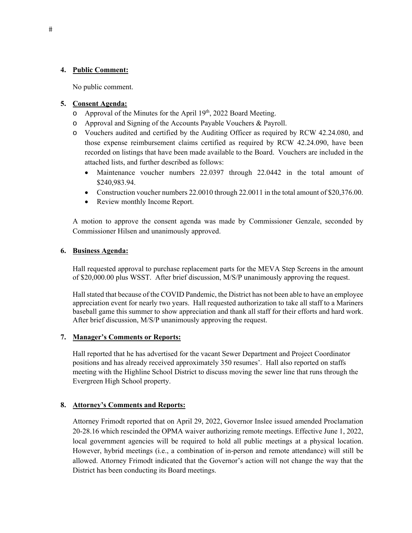#### **4. Public Comment:**

No public comment.

#### **5. Consent Agenda:**

- $\circ$  Approval of the Minutes for the April 19<sup>th</sup>, 2022 Board Meeting.
- o Approval and Signing of the Accounts Payable Vouchers & Payroll.
- o Vouchers audited and certified by the Auditing Officer as required by RCW 42.24.080, and those expense reimbursement claims certified as required by RCW 42.24.090, have been recorded on listings that have been made available to the Board. Vouchers are included in the attached lists, and further described as follows:
	- Maintenance voucher numbers 22.0397 through 22.0442 in the total amount of \$240,983.94.
	- Construction voucher numbers 22.0010 through 22.0011 in the total amount of \$20,376.00.
	- Review monthly Income Report.

A motion to approve the consent agenda was made by Commissioner Genzale, seconded by Commissioner Hilsen and unanimously approved.

#### **6. Business Agenda:**

Hall requested approval to purchase replacement parts for the MEVA Step Screens in the amount of \$20,000.00 plus WSST. After brief discussion, M/S/P unanimously approving the request.

Hall stated that because of the COVID Pandemic, the District has not been able to have an employee appreciation event for nearly two years. Hall requested authorization to take all staff to a Mariners baseball game this summer to show appreciation and thank all staff for their efforts and hard work. After brief discussion, M/S/P unanimously approving the request.

#### **7. Manager's Comments or Reports:**

Hall reported that he has advertised for the vacant Sewer Department and Project Coordinator positions and has already received approximately 350 resumes'. Hall also reported on staffs meeting with the Highline School District to discuss moving the sewer line that runs through the Evergreen High School property.

#### **8. Attorney's Comments and Reports:**

Attorney Frimodt reported that on April 29, 2022, Governor Inslee issued amended Proclamation 20-28.16 which rescinded the OPMA waiver authorizing remote meetings. Effective June 1, 2022, local government agencies will be required to hold all public meetings at a physical location. However, hybrid meetings (i.e., a combination of in-person and remote attendance) will still be allowed. Attorney Frimodt indicated that the Governor's action will not change the way that the District has been conducting its Board meetings.